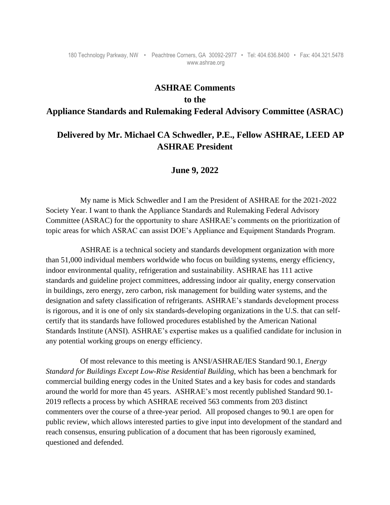#### 180 Technology Parkway, NW • Peachtree Corners, GA 30092-2977 • Tel: 404.636.8400 • Fax: 404.321.5478 www.ashrae.org

### **ASHRAE Comments**

# **to the**

# **Appliance Standards and Rulemaking Federal Advisory Committee (ASRAC)**

# **Delivered by Mr. Michael CA Schwedler, P.E., Fellow ASHRAE, LEED AP ASHRAE President**

# **June 9, 2022**

My name is Mick Schwedler and I am the President of ASHRAE for the 2021-2022 Society Year. I want to thank the Appliance Standards and Rulemaking Federal Advisory Committee (ASRAC) for the opportunity to share ASHRAE's comments on the prioritization of topic areas for which ASRAC can assist DOE's Appliance and Equipment Standards Program.

ASHRAE is a technical society and standards development organization with more than 51,000 individual members worldwide who focus on building systems, energy efficiency, indoor environmental quality, refrigeration and sustainability. ASHRAE has 111 active standards and guideline project committees, addressing indoor air quality, energy conservation in buildings, zero energy, zero carbon, risk management for building water systems, and the designation and safety classification of refrigerants. ASHRAE's standards development process is rigorous, and it is one of only six standards-developing organizations in the U.S. that can selfcertify that its standards have followed procedures established by the American National Standards Institute (ANSI). ASHRAE's expertise makes us a qualified candidate for inclusion in any potential working groups on energy efficiency.

Of most relevance to this meeting is ANSI/ASHRAE/IES Standard 90.1, *Energy Standard for Buildings Except Low-Rise Residential Building,* which has been a benchmark for commercial building energy codes in the United States and a key basis for codes and standards around the world for more than 45 years. ASHRAE's most recently published Standard 90.1- 2019 reflects a process by which ASHRAE received 563 comments from 203 distinct commenters over the course of a three-year period. All proposed changes to 90.1 are open for public review, which allows interested parties to give input into development of the standard and reach consensus, ensuring publication of a document that has been rigorously examined, questioned and defended.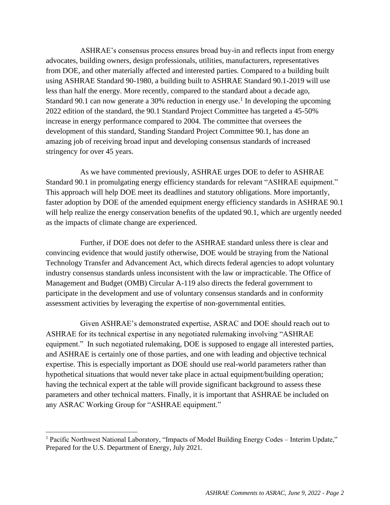ASHRAE's consensus process ensures broad buy-in and reflects input from energy advocates, building owners, design professionals, utilities, manufacturers, representatives from DOE, and other materially affected and interested parties. Compared to a building built using ASHRAE Standard 90-1980, a building built to ASHRAE Standard 90.1-2019 will use less than half the energy. More recently, compared to the standard about a decade ago, Standard 90.1 can now generate a 30% reduction in energy use.<sup>1</sup> In developing the upcoming 2022 edition of the standard, the 90.1 Standard Project Committee has targeted a 45-50% increase in energy performance compared to 2004. The committee that oversees the development of this standard, Standing Standard Project Committee 90.1, has done an amazing job of receiving broad input and developing consensus standards of increased stringency for over 45 years.

As we have commented previously, ASHRAE urges DOE to defer to ASHRAE Standard 90.1 in promulgating energy efficiency standards for relevant "ASHRAE equipment." This approach will help DOE meet its deadlines and statutory obligations. More importantly, faster adoption by DOE of the amended equipment energy efficiency standards in ASHRAE 90.1 will help realize the energy conservation benefits of the updated 90.1, which are urgently needed as the impacts of climate change are experienced.

Further, if DOE does not defer to the ASHRAE standard unless there is clear and convincing evidence that would justify otherwise, DOE would be straying from the National Technology Transfer and Advancement Act, which directs federal agencies to adopt voluntary industry consensus standards unless inconsistent with the law or impracticable. The Office of Management and Budget (OMB) Circular A-119 also directs the federal government to participate in the development and use of voluntary consensus standards and in conformity assessment activities by leveraging the expertise of non-governmental entities.

Given ASHRAE's demonstrated expertise, ASRAC and DOE should reach out to ASHRAE for its technical expertise in any negotiated rulemaking involving "ASHRAE equipment." In such negotiated rulemaking, DOE is supposed to engage all interested parties, and ASHRAE is certainly one of those parties, and one with leading and objective technical expertise. This is especially important as DOE should use real-world parameters rather than hypothetical situations that would never take place in actual equipment/building operation; having the technical expert at the table will provide significant background to assess these parameters and other technical matters. Finally, it is important that ASHRAE be included on any ASRAC Working Group for "ASHRAE equipment."

<sup>&</sup>lt;sup>1</sup> Pacific Northwest National Laboratory, "Impacts of Model Building Energy Codes – Interim Update," Prepared for the U.S. Department of Energy, July 2021.